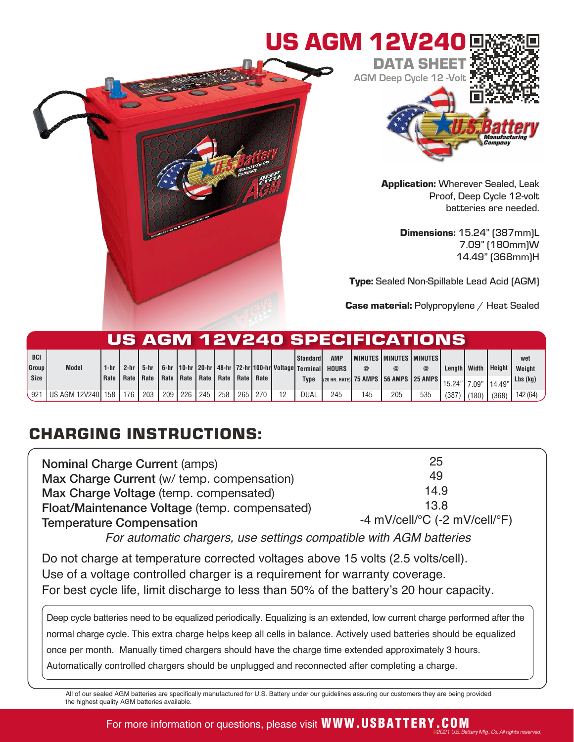



Application: Wherever Sealed, Leak Proof, Deep Cycle 12-volt batteries are needed.

> Dimensions: 15.24" (387mm)L 7.09" (180mm)W 14.49" (368mm)H

Type: Sealed Non-Spillable Lead Acid (AGM)

Case material: Polypropylene / Heat Sealed

|              |                           |      |        |      |         |     |                                                       |      |     |    |                                                                     |              |     | US AGM 12V240 SPECIFICATIONS              |                 |                |       |        |            |
|--------------|---------------------------|------|--------|------|---------|-----|-------------------------------------------------------|------|-----|----|---------------------------------------------------------------------|--------------|-----|-------------------------------------------|-----------------|----------------|-------|--------|------------|
| <b>BCI</b>   |                           |      |        |      |         |     |                                                       |      |     |    | <b>Standard</b>                                                     | <b>AMP</b>   |     | I MINUTES I MINUTES I MINUTES             |                 |                |       |        | wet        |
| <b>Group</b> | <b>Model</b>              | 1-hr | 2-hr I | 5-hr |         |     |                                                       |      |     |    | . 6-hr   10-hr   20-hr   48-hr   72-hr   100-hr  Voltage   Terminal | <b>HOURS</b> |     |                                           | $^{\copyright}$ | Lenath   Width |       | Height | Weight     |
| Size         |                           | Rate |        |      |         |     | Rate   Rate   Rate   Rate   Rate   Rate   Rate   Rate |      |     |    | Type                                                                |              |     | (20 HR. RATE) 75 AMPS   56 AMPS   25 AMPS |                 | 15.24"         | 7.09' |        | $Lbs$ (kg) |
| 921          | <b>JUS AGM 12V240 158</b> |      | 176    | 203  | 209 226 | 245 | 258                                                   | 2651 | 270 | 12 | <b>DUAL</b>                                                         | 245          | 145 | 205                                       | 535             | (387           | (180) | (368)  | 142 (64)   |

## CHARGING INSTRUCTIONS:

| <b>Nominal Charge Current (amps)</b>          | 25                                                         |
|-----------------------------------------------|------------------------------------------------------------|
| Max Charge Current (w/ temp. compensation)    | 49                                                         |
| Max Charge Voltage (temp. compensated)        | 14.9                                                       |
| Float/Maintenance Voltage (temp. compensated) | 13.8                                                       |
| <b>Temperature Compensation</b>               | -4 mV/cell/ $\rm ^{\circ}C$ (-2 mV/cell/ $\rm ^{\circ}F$ ) |

For automatic chargers, use settings compatible with AGM batteries

Do not charge at temperature corrected voltages above 15 volts (2.5 volts/cell). Use of a voltage controlled charger is a requirement for warranty coverage. For best cycle life, limit discharge to less than 50% of the battery's 20 hour capacity.

Deep cycle batteries need to be equalized periodically. Equalizing is an extended, low current charge performed after the normal charge cycle. This extra charge helps keep all cells in balance. Actively used batteries should be equalized once per month. Manually timed chargers should have the charge time extended approximately 3 hours. Automatically controlled chargers should be unplugged and reconnected after completing a charge.

All of our sealed AGM batteries are specifically manufactured for U.S. Battery under our guidelines assuring our customers they are being provided the highest quality AGM batteries available.

## For more information or questions, please visit WWW.USBATTERY.COM ©2021 U.S. Battery Mfg., Co. All rights reserved.